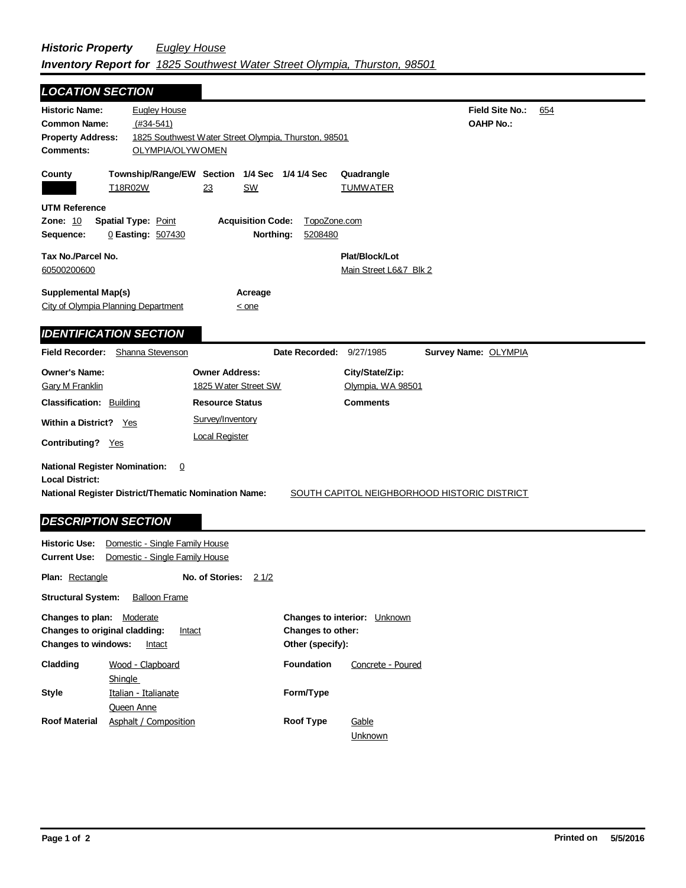| <b>LOCATION SECTION</b>                                                                                                                                                                                   |                                                        |                                                      |                         |                                          |                                            |     |  |
|-----------------------------------------------------------------------------------------------------------------------------------------------------------------------------------------------------------|--------------------------------------------------------|------------------------------------------------------|-------------------------|------------------------------------------|--------------------------------------------|-----|--|
| <b>Historic Name:</b><br><b>Common Name:</b><br><b>Property Address:</b><br><b>Comments:</b>                                                                                                              | <b>Eugley House</b><br>$(#34-541)$<br>OLYMPIA/OLYWOMEN | 1825 Southwest Water Street Olympia, Thurston, 98501 |                         |                                          | <b>Field Site No.:</b><br><b>OAHP No.:</b> | 654 |  |
| County<br>T18R02W                                                                                                                                                                                         |                                                        | Township/Range/EW Section 1/4 Sec<br>23<br>SW        | 1/4 1/4 Sec             | Quadrangle<br>TUMWATER                   |                                            |     |  |
| <b>UTM Reference</b><br><b>Zone: 10</b><br>Sequence:                                                                                                                                                      | <b>Spatial Type: Point</b><br>0 Easting: 507430        | <b>Acquisition Code:</b><br>Northing:                | TopoZone.com<br>5208480 |                                          |                                            |     |  |
| Tax No./Parcel No.<br>60500200600                                                                                                                                                                         |                                                        |                                                      |                         | Plat/Block/Lot<br>Main Street L6&7 Blk 2 |                                            |     |  |
| <b>Supplemental Map(s)</b><br>City of Olympia Planning Department                                                                                                                                         |                                                        | Acreage<br>$\leq$ one                                |                         |                                          |                                            |     |  |
| <b>IDENTIFICATION SECTION</b>                                                                                                                                                                             |                                                        |                                                      |                         |                                          |                                            |     |  |
| <b>Field Recorder:</b>                                                                                                                                                                                    | Shanna Stevenson                                       |                                                      | Date Recorded:          | 9/27/1985                                | Survey Name: OLYMPIA                       |     |  |
| <b>Owner's Name:</b><br><b>Gary M Franklin</b>                                                                                                                                                            |                                                        | <b>Owner Address:</b><br>1825 Water Street SW        |                         | City/State/Zip:<br>Olympia, WA 98501     |                                            |     |  |
| <b>Classification: Building</b>                                                                                                                                                                           |                                                        | <b>Resource Status</b>                               |                         | <b>Comments</b>                          |                                            |     |  |
| <b>Within a District?</b><br>Contributing? Yes                                                                                                                                                            | Survey/Inventory<br>Yes<br><b>Local Register</b>       |                                                      |                         |                                          |                                            |     |  |
| <b>National Register Nomination:</b><br>0<br><b>Local District:</b><br>National Register District/Thematic Nomination Name:<br>SOUTH CAPITOL NEIGHBORHOOD HISTORIC DISTRICT<br><b>DESCRIPTION SECTION</b> |                                                        |                                                      |                         |                                          |                                            |     |  |
| <b>Historic Use:</b>                                                                                                                                                                                      | Domestic - Single Family House                         |                                                      |                         |                                          |                                            |     |  |
| <b>Current Use:</b>                                                                                                                                                                                       | Domestic - Single Family House                         |                                                      |                         |                                          |                                            |     |  |
| <b>Plan: Rectangle</b>                                                                                                                                                                                    |                                                        | No. of Stories: 2 1/2                                |                         |                                          |                                            |     |  |
| <b>Structural System:</b>                                                                                                                                                                                 | <b>Balloon Frame</b>                                   |                                                      |                         |                                          |                                            |     |  |

| Changes to plan:<br><b>Changes to windows:</b> | Moderate<br><b>Changes to original cladding:</b><br>Intact<br>Intact |                   | <b>Changes to interior:</b> Unknown<br><b>Changes to other:</b><br>Other (specify): |  |  |
|------------------------------------------------|----------------------------------------------------------------------|-------------------|-------------------------------------------------------------------------------------|--|--|
| Cladding                                       | Wood - Clapboard                                                     | <b>Foundation</b> | Concrete - Poured                                                                   |  |  |
|                                                | Shingle                                                              |                   |                                                                                     |  |  |
| Style                                          | Italian - Italianate                                                 | Form/Type         |                                                                                     |  |  |
|                                                | <b>Queen Anne</b>                                                    |                   |                                                                                     |  |  |
| <b>Roof Material</b>                           | Asphalt / Composition                                                | <b>Roof Type</b>  | Gable                                                                               |  |  |
|                                                |                                                                      |                   | Unknown                                                                             |  |  |